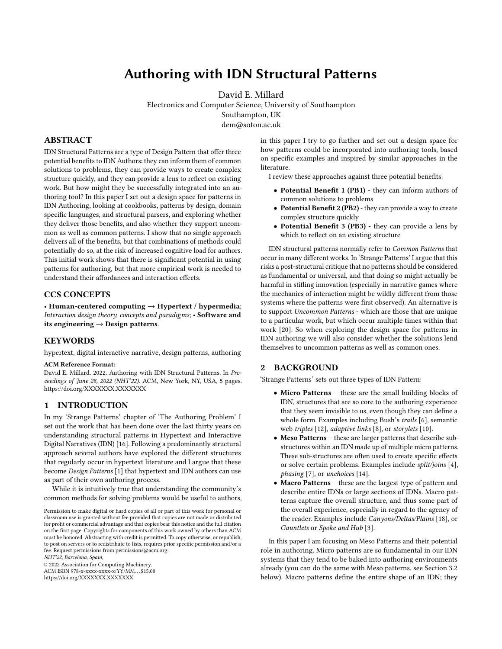# Authoring with IDN Structural Patterns

[David E. Millard](https://orcid.org/0000-0002-7512-2710)

Electronics and Computer Science, University of Southampton Southampton, UK dem@soton.ac.uk

## ABSTRACT

IDN Structural Patterns are a type of Design Pattern that offer three potential benefits to IDN Authors: they can inform them of common solutions to problems, they can provide ways to create complex structure quickly, and they can provide a lens to reflect on existing work. But how might they be successfully integrated into an authoring tool? In this paper I set out a design space for patterns in IDN Authoring, looking at cookbooks, patterns by design, domain specific languages, and structural parsers, and exploring whether they deliver those benefits, and also whether they support uncommon as well as common patterns. I show that no single approach delivers all of the benefits, but that combinations of methods could potentially do so, at the risk of increased cognitive load for authors. This initial work shows that there is significant potential in using patterns for authoring, but that more empirical work is needed to understand their affordances and interaction effects.

#### CCS CONCEPTS

• Human-centered computing  $\rightarrow$  Hypertext / hypermedia; Interaction design theory, concepts and paradigms; • Software and its engineering  $\rightarrow$  Design patterns.

#### KEYWORDS

hypertext, digital interactive narrative, design patterns, authoring

#### ACM Reference Format:

David E. Millard. 2022. Authoring with IDN Structural Patterns. In Pro-ceedings of June 28, 2022 (NHT'22). ACM, New York, NY, USA, [5](#page-4-0) pages. <https://doi.org/XXXXXXX.XXXXXXX>

# 1 INTRODUCTION

In my 'Strange Patterns' chapter of 'The Authoring Problem' I set out the work that has been done over the last thirty years on understanding structural patterns in Hypertext and Interactive Digital Narratives (IDN) [\[16\]](#page-4-1). Following a predominantly structural approach several authors have explored the different structures that regularly occur in hypertext literature and I argue that these become Design Patterns [\[1\]](#page-4-2) that hypertext and IDN authors can use as part of their own authoring process.

While it is intuitively true that understanding the community's common methods for solving problems would be useful to authors,

NHT'22, Barcelona, Spain,

© 2022 Association for Computing Machinery.

ACM ISBN 978-x-xxxx-xxxx-x/YY/MM. . . \$15.00 <https://doi.org/XXXXXXX.XXXXXXX>

in this paper I try to go further and set out a design space for how patterns could be incorporated into authoring tools, based on specific examples and inspired by similar approaches in the literature.

I review these approaches against three potential benefits:

- Potential Benefit 1 (PB1) they can inform authors of common solutions to problems
- Potential Benefit 2 (PB2) they can provide a way to create complex structure quickly
- Potential Benefit 3 (PB3) they can provide a lens by which to reflect on an existing structure

IDN structural patterns normally refer to Common Patterns that occur in many different works. In 'Strange Patterns' I argue that this risks a post-structural critique that no patterns should be considered as fundamental or universal, and that doing so might actually be harmful in stifling innovation (especially in narrative games where the mechanics of interaction might be wildly different from those systems where the patterns were first observed). An alternative is to support Uncommon Patterns - which are those that are unique to a particular work, but which occur multiple times within that work [\[20\]](#page-4-3). So when exploring the design space for patterns in IDN authoring we will also consider whether the solutions lend themselves to uncommon patterns as well as common ones.

## 2 BACKGROUND

'Strange Patterns' sets out three types of IDN Pattern:

- Micro Patterns these are the small building blocks of IDN, structures that are so core to the authoring experience that they seem invisible to us, even though they can define a whole form. Examples including Bush's trails [\[6\]](#page-4-4), semantic web triples [\[12\]](#page-4-5), adaptive links [\[8\]](#page-4-6), or storylets [\[10\]](#page-4-7).
- Meso Patterns these are larger patterns that describe substructures within an IDN made up of multiple micro patterns. These sub-structures are often used to create specific effects or solve certain problems. Examples include split/joins [\[4\]](#page-4-8), phasing [\[7\]](#page-4-9), or unchoices [\[14\]](#page-4-10).
- Macro Patterns these are the largest type of pattern and describe entire IDNs or large sections of IDNs. Macro patterns capture the overall structure, and thus some part of the overall experience, especially in regard to the agency of the reader. Examples include Canyons/Deltas/Plains [\[18\]](#page-4-11), or Gauntlets or Spoke and Hub [\[3\]](#page-4-12).

In this paper I am focusing on Meso Patterns and their potential role in authoring. Micro patterns are so fundamental in our IDN systems that they tend to be baked into authoring environments already (you can do the same with Meso patterns, see Section [3.2](#page-1-0) below). Macro patterns define the entire shape of an IDN; they

Permission to make digital or hard copies of all or part of this work for personal or classroom use is granted without fee provided that copies are not made or distributed for profit or commercial advantage and that copies bear this notice and the full citation on the first page. Copyrights for components of this work owned by others than ACM must be honored. Abstracting with credit is permitted. To copy otherwise, or republish, to post on servers or to redistribute to lists, requires prior specific permission and/or a fee. Request permissions from permissions@acm.org.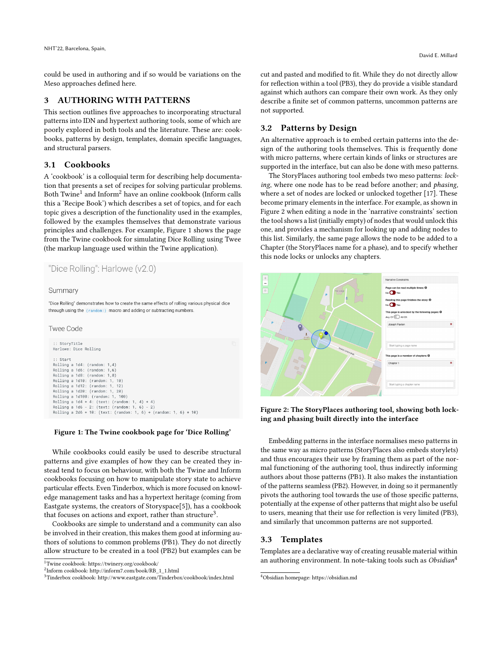could be used in authoring and if so would be variations on the Meso approaches defined here.

## 3 AUTHORING WITH PATTERNS

This section outlines five approaches to incorporating structural patterns into IDN and hypertext authoring tools, some of which are poorly explored in both tools and the literature. These are: cookbooks, patterns by design, templates, domain specific languages, and structural parsers.

#### 3.1 Cookbooks

A 'cookbook' is a colloquial term for describing help documentation that presents a set of recipes for solving particular problems. Both  $\operatorname{Twine}^1$  $\operatorname{Twine}^1$  and  $\operatorname{Inform}^2$  $\operatorname{Inform}^2$  have an online cookbook (Inform calls this a 'Recipe Book') which describes a set of topics, and for each topic gives a description of the functionality used in the examples, followed by the examples themselves that demonstrate various principles and challenges. For example, Figure [1](#page-1-3) shows the page from the Twine cookbook for simulating Dice Rolling using Twee (the markup language used within the Twine application).

```
"Dice Rolling": Harlowe (v2.0)
```
#### Summary

"Dice Rolling" demonstrates how to create the same effects of rolling various physical dice through using the (random:) macro and adding or subtracting numbers.

#### **Twee Code**

```
:: StoryTitle
Harlowe: Dice Rolling
 :: Start
Rolling a 1d4: (random: 1,4)<br>Rolling a 1d6: (random: 1,6)<br>Rolling a 1d8: (random: 1,8)
Rolling a 1d10: (random: 1, 10)<br>Rolling a 1d12: (random: 1, 12)
Rolling a 1d20: (random: 1, 20)
Rolling a 1d100: (random: 1, 100)
Rolling a 1d4 + 4: (text: (random: 1, 4) + 4)<br>Rolling a 1d6 - 2: (text: (random: 1, 6) - 2)
Rolling a 2d6 + 10: (text: (random: 1, 6) + (random: 1, 6) + 10)
```
#### Figure 1: The Twine cookbook page for 'Dice Rolling'

While cookbooks could easily be used to describe structural patterns and give examples of how they can be created they instead tend to focus on behaviour, with both the Twine and Inform cookbooks focusing on how to manipulate story state to achieve particular effects. Even Tinderbox, which is more focused on knowledge management tasks and has a hypertext heritage (coming from Eastgate systems, the creators of Storyspace[\[5\]](#page-4-13)), has a cookbook that focuses on actions and export, rather than structure<sup>[3](#page-1-4)</sup>.

Cookbooks are simple to understand and a community can also be involved in their creation, this makes them good at informing authors of solutions to common problems (PB1). They do not directly allow structure to be created in a tool (PB2) but examples can be

```
^1 Twine cookbook: https://twinery.org/cookbook/
```

```
2
Inform cookbook: http://inform7.com/book/RB_1_1.html
```
cut and pasted and modified to fit. While they do not directly allow for reflection within a tool (PB3), they do provide a visible standard against which authors can compare their own work. As they only describe a finite set of common patterns, uncommon patterns are not supported.

#### <span id="page-1-0"></span>3.2 Patterns by Design

An alternative approach is to embed certain patterns into the design of the authoring tools themselves. This is frequently done with micro patterns, where certain kinds of links or structures are supported in the interface, but can also be done with meso patterns.

The StoryPlaces authoring tool embeds two meso patterns: locking, where one node has to be read before another; and phasing, where a set of nodes are locked or unlocked together [\[17\]](#page-4-14). These become primary elements in the interface. For example, as shown in Figure [2](#page-1-5) when editing a node in the 'narrative constraints' section the tool shows a list (initially empty) of nodes that would unlock this one, and provides a mechanism for looking up and adding nodes to this list. Similarly, the same page allows the node to be added to a Chapter (the StoryPlaces name for a phase), and to specify whether this node locks or unlocks any chapters.

<span id="page-1-5"></span>

Figure 2: The StoryPlaces authoring tool, showing both locking and phasing built directly into the interface

Embedding patterns in the interface normalises meso patterns in the same way as micro patterns (StoryPlaces also embeds storylets) and thus encourages their use by framing them as part of the normal functioning of the authoring tool, thus indirectly informing authors about those patterns (PB1). It also makes the instantiation of the patterns seamless (PB2). However, in doing so it permanently pivots the authoring tool towards the use of those specific patterns, potentially at the expense of other patterns that might also be useful to users, meaning that their use for reflection is very limited (PB3), and similarly that uncommon patterns are not supported.

#### 3.3 Templates

Templates are a declarative way of creating reusable material within an authoring environment. In note-taking tools such as  $Obsidian<sup>4</sup>$  $Obsidian<sup>4</sup>$  $Obsidian<sup>4</sup>$ 

<span id="page-1-4"></span><sup>3</sup>Tinderbox cookbook: http://www.eastgate.com/Tinderbox/cookbook/index.html

<span id="page-1-6"></span><sup>4</sup>Obsidian homepage: https://obsidian.md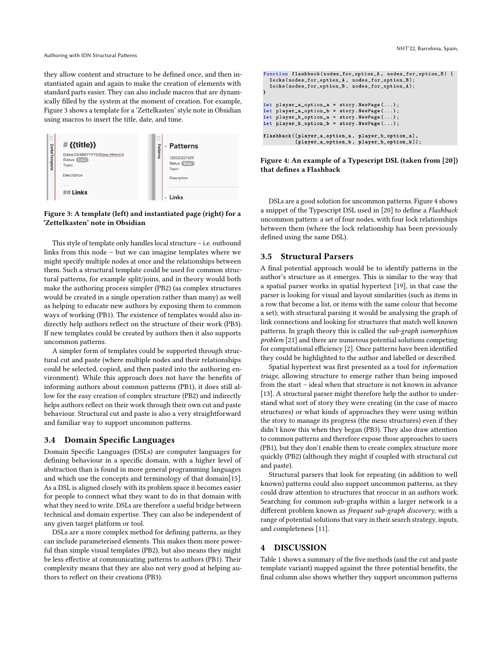Authoring with IDN Structural Patterns

they allow content and structure to be defined once, and then instantiated again and again to make the creation of elements with standard parts easier. They can also include macros that are dynamically filled by the system at the moment of creation. For example, Figure [3](#page-2-0) shows a template for a 'Zettelkasten' style note in Obsidian using macros to insert the title, date, and time.

<span id="page-2-0"></span>

#### Figure 3: A template (left) and instantiated page (right) for a 'Zettelkasten' note in Obsidian

This style of template only handles local structure – i.e. outbound links from this node – but we can imagine templates where we might specify multiple nodes at once and the relationships between them. Such a structural template could be used for common structural patterns, for example split/joins, and in theory would both make the authoring process simpler (PB2) (as complex structures would be created in a single operation rather than many) as well as helping to educate new authors by exposing them to common ways of working (PB1). The existence of templates would also indirectly help authors reflect on the structure of their work (PB3). If new templates could be created by authors then it also supports uncommon patterns.

A simpler form of templates could be supported through structural cut and paste (where multiple nodes and their relationships could be selected, copied, and then pasted into the authoring environment). While this approach does not have the benefits of informing authors about common patterns (PB1), it does still allow for the easy creation of complex structure (PB2) and indirectly helps authors reflect on their work through their own cut and paste behaviour. Structural cut and paste is also a very straightforward and familiar way to support uncommon patterns.

## 3.4 Domain Specific Languages

Domain Specific Languages (DSLs) are computer languages for defining behaviour in a specific domain, with a higher level of abstraction than is found in more general programming languages and which use the concepts and terminology of that domain[\[15\]](#page-4-15). As a DSL is aligned closely with its problem space it becomes easier for people to connect what they want to do in that domain with what they need to write. DSLs are therefore a useful bridge between technical and domain expertise. They can also be independent of any given target platform or tool.

DSLs are a more complex method for defining patterns, as they can include parameterised elements. This makes them more powerful than simple visual templates (PB2), but also means they might be less effective at communicating patterns to authors (PB1). Their complexity means that they are also not very good at helping authors to reflect on their creations (PB3).

```
function flashback(nodes_for_option_A, nodes_for_option_B) {
  locks(nodes_for_option_A, nodes_for_option_B);
  locks(nodes_for_option_B, nodes_for_option_A);
let player_a option a = story. New Page ( \ldots );
let player_a_option_b = story.NewPage(...);
let player_b_option_a = story.NewPage(...);
let player_b_option_b = story.\nNewPage(...);flashback([player_a_option_a, player_b_option_a],<br>[player_a_option_b, player_b_option_b]);
```
#### Figure 4: An example of a Typescript DSL (taken from [\[20\]](#page-4-3)) that defines a Flashback

DSLs are a good solution for uncommon patterns. Figure [4](#page-2-1) shows a snippet of the Typescript DSL used in [\[20\]](#page-4-3) to define a Flashback uncommon pattern: a set of four nodes, with four lock relationships between them (where the lock relationship has been previously defined using the same DSL).

#### 3.5 Structural Parsers

A final potential approach would be to identify patterns in the author's structure as it emerges. This is similar to the way that a spatial parser works in spatial hypertext [\[19\]](#page-4-16), in that case the parser is looking for visual and layout similarities (such as items in a row that become a list, or items with the same colour that become a set); with structural parsing it would be analysing the graph of link connections and looking for structures that match well known patterns. In graph theory this is called the sub-graph isomorphism problem [\[21\]](#page-4-17) and there are numerous potential solutions competing for computational efficiency [\[2\]](#page-4-18). Once patterns have been identified they could be highlighted to the author and labelled or described.

Spatial hypertext was first presented as a tool for information triage, allowing structure to emerge rather than being imposed from the start – ideal when that structure is not known in advance [\[13\]](#page-4-19). A structural parser might therefore help the author to understand what sort of story they were creating (in the case of macro structures) or what kinds of approaches they were using within the story to manage its progress (the meso structures) even if they didn't know this when they began (PB3). They also draw attention to common patterns and therefore expose those approaches to users (PB1), but they don't enable them to create complex structure more quickly (PB2) (although they might if coupled with structural cut and paste).

Structural parsers that look for repeating (in addition to well known) patterns could also support uncommon patterns, as they could draw attention to structures that reoccur in an authors work. Searching for common sub-graphs within a larger network is a different problem known as frequent sub-graph discovery, with a range of potential solutions that vary in their search strategy, inputs, and completeness [\[11\]](#page-4-20).

#### 4 DISCUSSION

Table [1](#page-3-0) shows a summary of the five methods (and the cut and paste template variant) mapped against the three potential benefits, the final column also shows whether they support uncommon patterns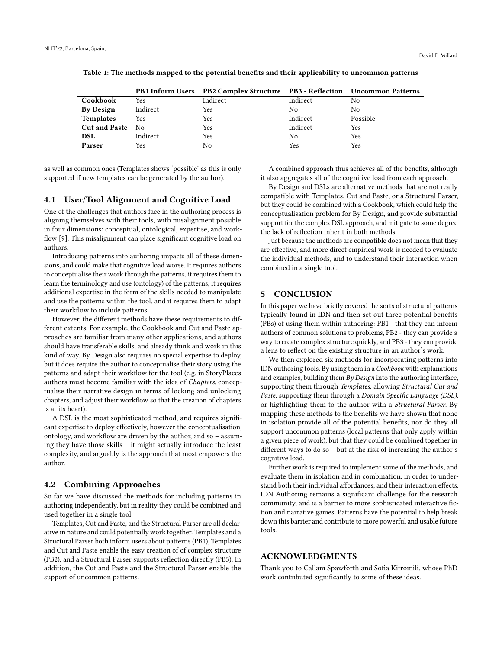|                  |          | PB1 Inform Users PB2 Complex Structure PB3 - Reflection Uncommon Patterns |          |          |
|------------------|----------|---------------------------------------------------------------------------|----------|----------|
| Cookbook         | Yes      | Indirect                                                                  | Indirect | No       |
| <b>By Design</b> | Indirect | Yes                                                                       | No.      | No       |
| <b>Templates</b> | Yes      | Yes                                                                       | Indirect | Possible |
| Cut and Paste    | No       | Yes                                                                       | Indirect | Yes      |
| <b>DSL</b>       | Indirect | Yes                                                                       | No       | Yes      |
| Parser           | Yes      | No                                                                        | Yes      | Yes      |

<span id="page-3-0"></span>Table 1: The methods mapped to the potential benefits and their applicability to uncommon patterns

as well as common ones (Templates shows 'possible' as this is only supported if new templates can be generated by the author).

#### 4.1 User/Tool Alignment and Cognitive Load

One of the challenges that authors face in the authoring process is aligning themselves with their tools, with misalignment possible in four dimensions: conceptual, ontological, expertise, and workflow [\[9\]](#page-4-21). This misalignment can place significant cognitive load on authors.

Introducing patterns into authoring impacts all of these dimensions, and could make that cognitive load worse. It requires authors to conceptualise their work through the patterns, it requires them to learn the terminology and use (ontology) of the patterns, it requires additional expertise in the form of the skills needed to manipulate and use the patterns within the tool, and it requires them to adapt their workflow to include patterns.

However, the different methods have these requirements to different extents. For example, the Cookbook and Cut and Paste approaches are familiar from many other applications, and authors should have transferable skills, and already think and work in this kind of way. By Design also requires no special expertise to deploy, but it does require the author to conceptualise their story using the patterns and adapt their workflow for the tool (e.g. in StoryPlaces authors must become familiar with the idea of Chapters, conceptualise their narrative design in terms of locking and unlocking chapters, and adjust their workflow so that the creation of chapters is at its heart).

A DSL is the most sophisticated method, and requires significant expertise to deploy effectively, however the conceptualisation, ontology, and workflow are driven by the author, and so – assuming they have those skills – it might actually introduce the least complexity, and arguably is the approach that most empowers the author.

#### 4.2 Combining Approaches

So far we have discussed the methods for including patterns in authoring independently, but in reality they could be combined and used together in a single tool.

Templates, Cut and Paste, and the Structural Parser are all declarative in nature and could potentially work together. Templates and a Structural Parser both inform users about patterns (PB1), Templates and Cut and Paste enable the easy creation of of complex structure (PB2), and a Structural Parser supports reflection directly (PB3). In addition, the Cut and Paste and the Structural Parser enable the support of uncommon patterns.

A combined approach thus achieves all of the benefits, although it also aggregates all of the cognitive load from each approach.

By Design and DSLs are alternative methods that are not really compatible with Templates, Cut and Paste, or a Structural Parser, but they could be combined with a Cookbook, which could help the conceptualisation problem for By Design, and provide substantial support for the complex DSL approach, and mitigate to some degree the lack of reflection inherit in both methods.

Just because the methods are compatible does not mean that they are effective, and more direct empirical work is needed to evaluate the individual methods, and to understand their interaction when combined in a single tool.

#### 5 CONCLUSION

In this paper we have briefly covered the sorts of structural patterns typically found in IDN and then set out three potential benefits (PBs) of using them within authoring: PB1 - that they can inform authors of common solutions to problems, PB2 - they can provide a way to create complex structure quickly, and PB3 - they can provide a lens to reflect on the existing structure in an author's work.

We then explored six methods for incorporating patterns into IDN authoring tools. By using them in a Cookbook with explanations and examples, building them  $By$  Design into the authoring interface, supporting them through Templates, allowing Structural Cut and Paste, supporting them through a Domain Specific Language (DSL), or highlighting them to the author with a Structural Parser. By mapping these methods to the benefits we have shown that none in isolation provide all of the potential benefits, nor do they all support uncommon patterns (local patterns that only apply within a given piece of work), but that they could be combined together in different ways to do so – but at the risk of increasing the author's cognitive load.

Further work is required to implement some of the methods, and evaluate them in isolation and in combination, in order to understand both their individual affordances, and their interaction effects. IDN Authoring remains a significant challenge for the research community, and is a barrier to more sophisticated interactive fiction and narrative games. Patterns have the potential to help break down this barrier and contribute to more powerful and usable future tools.

#### ACKNOWLEDGMENTS

Thank you to Callam Spawforth and Sofia Kitromili, whose PhD work contributed significantly to some of these ideas.